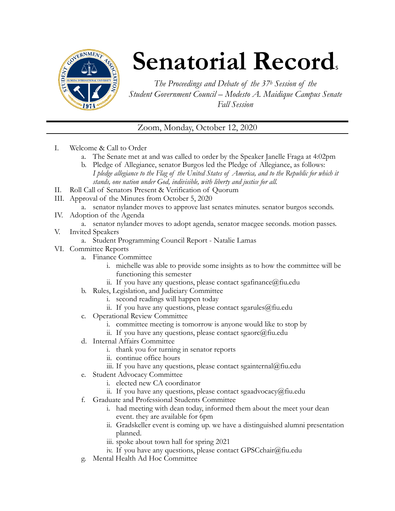

## **Senatorial Records**

*The Proceedings and Debate of the 37h Session of the Student Government Council – Modesto A. Maidique Campus Senate Fall Session* 

Zoom, Monday, October 12, 2020

- I. Welcome & Call to Order
	- a. The Senate met at and was called to order by the Speaker Janelle Fraga at 4:02pm
	- b. Pledge of Allegiance, senator Burgos led the Pledge of Allegiance, as follows: *I pledge allegiance to the Flag of the United States of America, and to the Republic for which it stands, one nation under God, indivisible, with liberty and justice for all.*
- II. Roll Call of Senators Present & Verification of Quorum
- III. Approval of the Minutes from October 5, 2020
	- a. senator nylander moves to approve last senates minutes. senator burgos seconds.
- IV. Adoption of the Agenda
	- a. senator nylander moves to adopt agenda, senator macgee seconds. motion passes.
- V. Invited Speakers
	- a. Student Programming Council Report Natalie Lamas
- VI. Committee Reports
	- a. Finance Committee
		- i. michelle was able to provide some insights as to how the committee will be functioning this semester
		- ii. If you have any questions, please contact sgafinance  $\omega$  fiu.edu
	- b. Rules, Legislation, and Judiciary Committee
		- i. second readings will happen today
		- ii. If you have any questions, please contact sgarules  $@$  fiu.edu
	- c. Operational Review Committee
		- i. committee meeting is tomorrow is anyone would like to stop by
		- ii. If you have any questions, please contact sgaorc@fiu.edu
	- d. Internal Affairs Committee
		- i. thank you for turning in senator reports
		- ii. continue office hours
		- iii. If you have any questions, please contact sgainternal@fiu.edu
	- e. Student Advocacy Committee
		- i. elected new CA coordinator
		- ii. If you have any questions, please contact sgaadvocacy@fiu.edu
	- f. Graduate and Professional Students Committee
		- i. had meeting with dean today, informed them about the meet your dean event. they are available for 6pm
		- ii. Gradskeller event is coming up. we have a distinguished alumni presentation planned.
		- iii. spoke about town hall for spring 2021
		- iv. If you have any questions, please contact GPSCchair@fiu.edu
	- g. Mental Health Ad Hoc Committee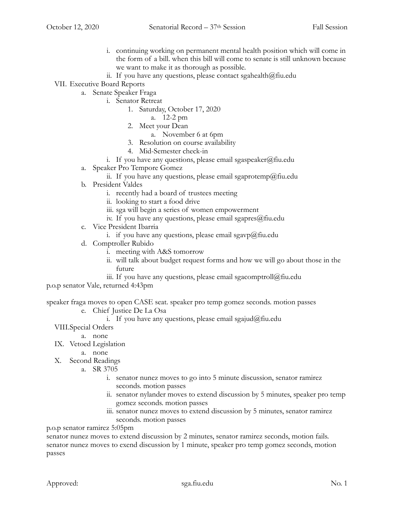- i. continuing working on permanent mental health position which will come in the form of a bill. when this bill will come to senate is still unknown because we want to make it as thorough as possible.
- ii. If you have any questions, please contact sgahealth $@$ fiu.edu
- VII. Executive Board Reports
	- a. Senate Speaker Fraga
		- i. Senator Retreat
			- 1. Saturday, October 17, 2020
				- a. 12-2 pm
			- 2. Meet your Dean
				- a. November 6 at 6pm
			- 3. Resolution on course availability
			- 4. Mid-Semester check-in
		- i. If you have any questions, please email sgaspeaker@fiu.edu
	- a. Speaker Pro Tempore Gomez
		- ii. If you have any questions, please email sgaprotemp@fiu.edu
	- b. President Valdes
		- i. recently had a board of trustees meeting
		- ii. looking to start a food drive
		- iii. sga will begin a series of women empowerment
		- iv. If you have any questions, please email sgapres $@$ fiu.edu
	- c. Vice President Ibarria
		- i. if you have any questions, please email sgavp $@$ fiu.edu
	- d. Comptroller Rubido
		- i. meeting with A&S tomorrow
		- ii. will talk about budget request forms and how we will go about those in the future
		- iii. If you have any questions, please email sgacomptroll@fiu.edu

p.o.p senator Vale, returned 4:43pm

speaker fraga moves to open CASE seat. speaker pro temp gomez seconds. motion passes

- e. Chief Justice De La Osa
	- i. If you have any questions, please email sgajud@fiu.edu
- VIII.Special Orders
	- a. none
- IX. Vetoed Legislation
	- a. none
- X. Second Readings
	- a. SR 3705
		- i. senator nunez moves to go into 5 minute discussion, senator ramirez seconds. motion passes
		- ii. senator nylander moves to extend discussion by 5 minutes, speaker pro temp gomez seconds. motion passes
		- iii. senator nunez moves to extend discussion by 5 minutes, senator ramirez seconds. motion passes

p.o.p senator ramirez 5:05pm

senator nunez moves to extend discussion by 2 minutes, senator ramirez seconds, motion fails. senator nunez moves to exend discussion by 1 minute, speaker pro temp gomez seconds, motion passes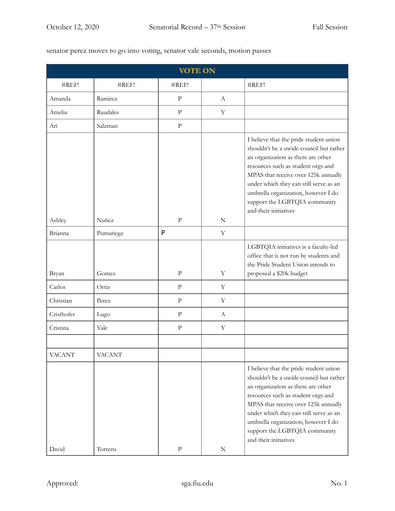## senator perez moves to go into voting, senator vale seconds, motion passes

| <b>VOTE ON</b> |               |              |             |                                                                                                                                                                                                                                                                                                                                                  |  |  |  |
|----------------|---------------|--------------|-------------|--------------------------------------------------------------------------------------------------------------------------------------------------------------------------------------------------------------------------------------------------------------------------------------------------------------------------------------------------|--|--|--|
| #REF!          | #REF!         | #REF!        |             | #REF!                                                                                                                                                                                                                                                                                                                                            |  |  |  |
| Amanda         | Ramirez       | $\mathbf{P}$ | A           |                                                                                                                                                                                                                                                                                                                                                  |  |  |  |
| Amelia         | Raudales      | $\mathbf{P}$ | $\mathbf Y$ |                                                                                                                                                                                                                                                                                                                                                  |  |  |  |
| Ari            | Salzman       | $\mathbf{P}$ |             |                                                                                                                                                                                                                                                                                                                                                  |  |  |  |
| Ashley         | Nuñez         | $\mathbf{P}$ | $\mathbf N$ | I believe that the pride student union<br>shouldn't be a uwide council but rather<br>an organization as there are other<br>resources such as student orgs and<br>MPAS that receive over 125k annually<br>under which they can still serve as an<br>umbrella organization, however I do<br>support the LGBTQIA community<br>and their initiatives |  |  |  |
| Brianna        | Pumariega     | P            | Y           |                                                                                                                                                                                                                                                                                                                                                  |  |  |  |
| Bryan          | Gomez         | $\mathbf{P}$ | Y           | LGBTQIA initiatives is a faculty-led<br>office that is not run by students and<br>the Pride Student Union intends to<br>proposed a \$20k budget                                                                                                                                                                                                  |  |  |  |
| Carlos         | Ortiz         | $\mathbf{P}$ | Y           |                                                                                                                                                                                                                                                                                                                                                  |  |  |  |
| Christian      | Perez         | $\mathbf{P}$ | Y           |                                                                                                                                                                                                                                                                                                                                                  |  |  |  |
| Cristhofer     | Lugo          | $\mathbf{P}$ | A           |                                                                                                                                                                                                                                                                                                                                                  |  |  |  |
| Cristina       | Vale          | $\mathbf{P}$ | Y           |                                                                                                                                                                                                                                                                                                                                                  |  |  |  |
|                |               |              |             |                                                                                                                                                                                                                                                                                                                                                  |  |  |  |
| <b>VACANT</b>  | <b>VACANT</b> |              |             |                                                                                                                                                                                                                                                                                                                                                  |  |  |  |
| David          | Torrens       | ${\bf P}$    | ${\bf N}$   | I believe that the pride student union<br>shouldn't be a uwide council but rather<br>an organization as there are other<br>resources such as student orgs and<br>MPAS that receive over 125k annually<br>under which they can still serve as an<br>umbrella organization, however I do<br>support the LGBTQIA community<br>and their initiatives |  |  |  |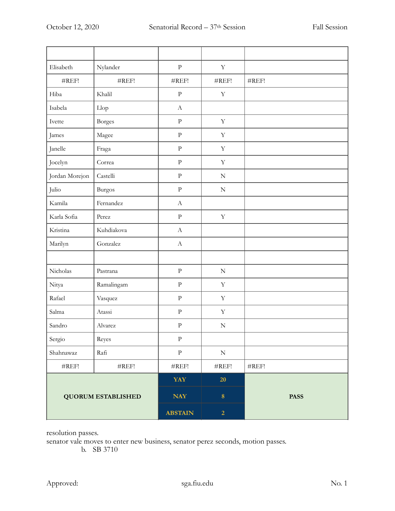| Elisabeth                 | Nylander          | ${\bf p}$                 | $\mathbf Y$       |                   |
|---------------------------|-------------------|---------------------------|-------------------|-------------------|
| #REF!                     | #REF!             | #REF!                     | #REF!             | #REF!             |
| Hiba                      | Khalil            | ${\bf p}$                 | $\mathbf Y$       |                   |
| Isabela                   | Llop              | $\boldsymbol{A}$          |                   |                   |
| Ivette                    | <b>Borges</b>     | ${\bf p}$                 | $\mathbf Y$       |                   |
| James                     | Magee             | $\rm{P}$                  | $\mathbf Y$       |                   |
| Janelle                   | Fraga             | ${\bf p}$                 | $\mathbf Y$       |                   |
| Jocelyn                   | Correa            | $\rm{P}$                  | $\mathbf Y$       |                   |
| Jordan Morejon            | Castelli          | ${\bf p}$                 | ${\bf N}$         |                   |
| Julio                     | <b>Burgos</b>     | $\rm{P}$                  | $\mathbf N$       |                   |
| Kamila                    | Fernandez         | $\mathbf{A}$              |                   |                   |
| Karla Sofia               | Perez             | $\rm P$                   | $\mathbf Y$       |                   |
| Kristina                  | Kuhdiakova        | $\boldsymbol{\mathrm{A}}$ |                   |                   |
| Marilyn                   | Gonzalez          | $\boldsymbol{\mathrm{A}}$ |                   |                   |
|                           |                   |                           |                   |                   |
| Nicholas                  | Pastrana          | $\rm{P}$                  | ${\bf N}$         |                   |
| Nitya                     | Ramalingam        | $\rm{P}$                  | $\mathbf Y$       |                   |
| Rafael                    | Vasquez           | ${\bf p}$                 | $\mathbf Y$       |                   |
| Salma                     | Atassi            | ${\bf p}$                 | $\mathbf Y$       |                   |
| Sandro                    | Alvarez           | ${\bf p}$                 | ${\bf N}$         |                   |
| Sergio                    | Reyes             | ${\bf P}$                 |                   |                   |
| Shahnawaz                 | Rafi              | ${\bf p}$                 | ${\bf N}$         |                   |
| $\#\mathrm{REF}!$         | $\#\mathrm{REF}!$ | $\#\mathrm{REF}!$         | $\#\mathrm{REF}!$ | $\#\mathrm{REF}!$ |
| <b>QUORUM ESTABLISHED</b> |                   | <b>YAY</b>                | 20                |                   |
|                           |                   | <b>NAY</b>                | $\bf 8$           | <b>PASS</b>       |
|                           |                   | <b>ABSTAIN</b>            | $\overline{2}$    |                   |

resolution passes.

senator vale moves to enter new business, senator perez seconds, motion passes.

b. SB 3710